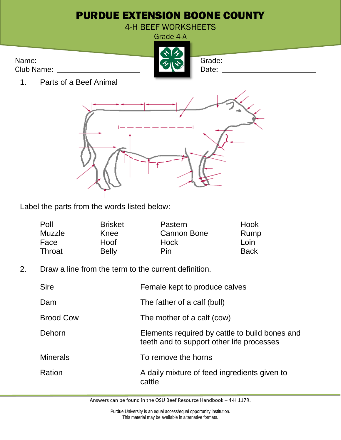

Label the parts from the words listed below:

| Poll   | <b>Brisket</b> | Pastern            | Hook        |
|--------|----------------|--------------------|-------------|
| Muzzle | Knee           | <b>Cannon Bone</b> | Rump        |
| Face   | Hoof           | Hock               | Loin        |
| Throat | <b>Belly</b>   | <b>Pin</b>         | <b>Back</b> |

2. Draw a line from the term to the current definition.

| <b>Sire</b>      | Female kept to produce calves                                                               |
|------------------|---------------------------------------------------------------------------------------------|
| Dam              | The father of a calf (bull)                                                                 |
| <b>Brood Cow</b> | The mother of a calf (cow)                                                                  |
| Dehorn           | Elements required by cattle to build bones and<br>teeth and to support other life processes |
| <b>Minerals</b>  | To remove the horns                                                                         |
| Ration           | A daily mixture of feed ingredients given to<br>cattle                                      |

Answers can be found in the OSU Beef Resource Handbook – 4-H 117R.